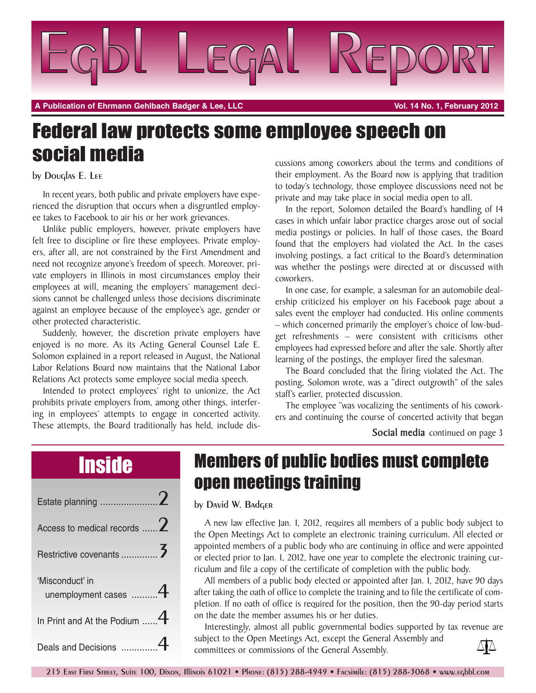

**A Publication of Ehrmann Gehlbach Badger & Lee, LLC Vol. 14 No. 1, February 2012**

# Federal law protects some employee speech on social media

#### by Douglas E. Lee

In recent years, both public and private employers have experienced the disruption that occurs when a disgruntled employee takes to Facebook to air his or her work grievances.

Unlike public employers, however, private employers have felt free to discipline or fire these employees. Private employers, after all, are not constrained by the First Amendment and need not recognize anyone's freedom of speech. Moreover, private employers in Illinois in most circumstances employ their employees at will, meaning the employers' management decisions cannot be challenged unless those decisions discriminate against an employee because of the employee's age, gender or other protected characteristic.

Suddenly, however, the discretion private employers have enjoyed is no more. As its Acting General Counsel Lafe E. Solomon explained in a report released in August, the National Labor Relations Board now maintains that the National Labor Relations Act protects some employee social media speech.

Intended to protect employees' right to unionize, the Act prohibits private employers from, among other things, interfering in employees' attempts to engage in concerted activity. These attempts, the Board traditionally has held, include discussions among coworkers about the terms and conditions of their employment. As the Board now is applying that tradition to today's technology, those employee discussions need not be private and may take place in social media open to all.

In the report, Solomon detailed the Board's handling of 14 cases in which unfair labor practice charges arose out of social media postings or policies. In half of those cases, the Board found that the employers had violated the Act. In the cases involving postings, a fact critical to the Board's determination was whether the postings were directed at or discussed with coworkers.

In one case, for example, a salesman for an automobile dealership criticized his employer on his Facebook page about a sales event the employer had conducted. His online comments – which concerned primarily the employer's choice of low-budget refreshments – were consistent with criticisms other employees had expressed before and after the sale. Shortly after learning of the postings, the employer fired the salesman.

The Board concluded that the firing violated the Act. The posting, Solomon wrote, was a "direct outgrowth" of the sales staff's earlier, protected discussion.

The employee "was vocalizing the sentiments of his coworkers and continuing the course of concerted activity that began

**Social media** continued on page 3

| Access to medical records  2                         |  |
|------------------------------------------------------|--|
|                                                      |  |
|                                                      |  |
| 'Misconduct' in                                      |  |
| unemployment cases 4<br>In Print and At the Podium 4 |  |

### Inside Members of public bodies must complete open meetings training

#### by David W. Badger

A new law effective Jan. 1, 2012, requires all members of a public body subject to the Open Meetings Act to complete an electronic training curriculum. All elected or appointed members of a public body who are continuing in office and were appointed or elected prior to Jan. 1, 2012, have one year to complete the electronic training curriculum and file a copy of the certificate of completion with the public body.

All members of a public body elected or appointed after Jan. 1, 2012, have 90 days after taking the oath of office to complete the training and to file the certificate of completion. If no oath of office is required for the position, then the 90-day period starts on the date the member assumes his or her duties.

Interestingly, almost all public governmental bodies supported by tax revenue are subject to the Open Meetings Act, except the General Assembly and ∆∤∆ committees or commissions of the General Assembly.

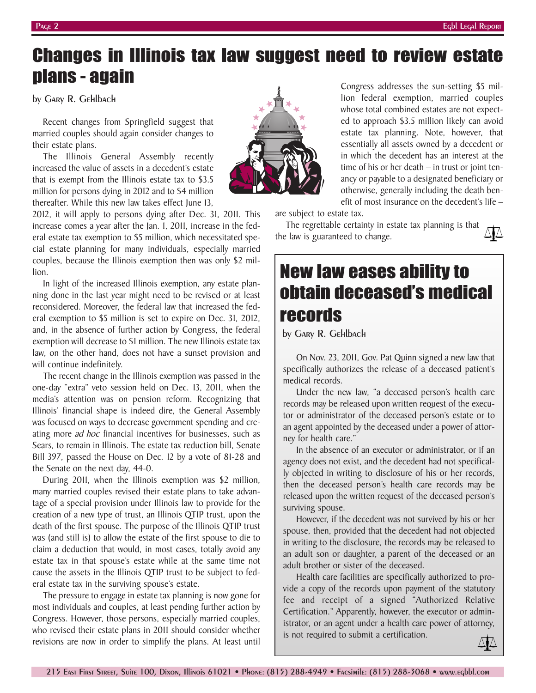### Changes in Illinois tax law suggest need to review estate plans - again

by Gary R. Gehlbach

Recent changes from Springfield suggest that married couples should again consider changes to their estate plans.

The Illinois General Assembly recently increased the value of assets in a decedent's estate that is exempt from the Illinois estate tax to \$3.5 million for persons dying in 2012 and to \$4 million thereafter. While this new law takes effect June 13,

2012, it will apply to persons dying after Dec. 31, 2011. This increase comes a year after the Jan. 1, 2011, increase in the federal estate tax exemption to \$5 million, which necessitated special estate planning for many individuals, especially married couples, because the Illinois exemption then was only \$2 million.

In light of the increased Illinois exemption, any estate planning done in the last year might need to be revised or at least reconsidered. Moreover, the federal law that increased the federal exemption to \$5 million is set to expire on Dec. 31, 2012, and, in the absence of further action by Congress, the federal exemption will decrease to \$1 million. The new Illinois estate tax law, on the other hand, does not have a sunset provision and will continue indefinitely.

The recent change in the Illinois exemption was passed in the one-day "extra" veto session held on Dec. 13, 2011, when the media's attention was on pension reform. Recognizing that Illinois' financial shape is indeed dire, the General Assembly was focused on ways to decrease government spending and creating more *ad hoc* financial incentives for businesses, such as Sears, to remain in Illinois. The estate tax reduction bill, Senate Bill 397, passed the House on Dec. 12 by a vote of 81-28 and the Senate on the next day, 44-0.

During 2011, when the Illinois exemption was \$2 million, many married couples revised their estate plans to take advantage of a special provision under Illinois law to provide for the creation of a new type of trust, an Illinois QTIP trust, upon the death of the first spouse. The purpose of the Illinois QTIP trust was (and still is) to allow the estate of the first spouse to die to claim a deduction that would, in most cases, totally avoid any estate tax in that spouse's estate while at the same time not cause the assets in the Illinois QTIP trust to be subject to federal estate tax in the surviving spouse's estate.

The pressure to engage in estate tax planning is now gone for most individuals and couples, at least pending further action by Congress. However, those persons, especially married couples, who revised their estate plans in 2011 should consider whether revisions are now in order to simplify the plans. At least until

are subject to estate tax.

The regrettable certainty in estate tax planning is that the law is guaranteed to change.

## New law eases ability to obtain deceased's medical records

by Gary R. Gehlbach

On Nov. 23, 2011, Gov. Pat Quinn signed a new law that specifically authorizes the release of a deceased patient's medical records.

Under the new law, "a deceased person's health care records may be released upon written request of the executor or administrator of the deceased person's estate or to an agent appointed by the deceased under a power of attorney for health care."

In the absence of an executor or administrator, or if an agency does not exist, and the decedent had not specifically objected in writing to disclosure of his or her records, then the deceased person's health care records may be released upon the written request of the deceased person's surviving spouse.

However, if the decedent was not survived by his or her spouse, then, provided that the decedent had not objected in writing to the disclosure, the records may be released to an adult son or daughter, a parent of the deceased or an adult brother or sister of the deceased.

Health care facilities are specifically authorized to provide a copy of the records upon payment of the statutory fee and receipt of a signed "Authorized Relative Certification." Apparently, however, the executor or administrator, or an agent under a health care power of attorney, is not required to submit a certification.



Congress addresses the sun-setting \$5 million federal exemption, married couples whose total combined estates are not expected to approach \$3.5 million likely can avoid estate tax planning. Note, however, that essentially all assets owned by a decedent or in which the decedent has an interest at the time of his or her death – in trust or joint tenancy or payable to a designated beneficiary or otherwise, generally including the death benefit of most insurance on the decedent's life –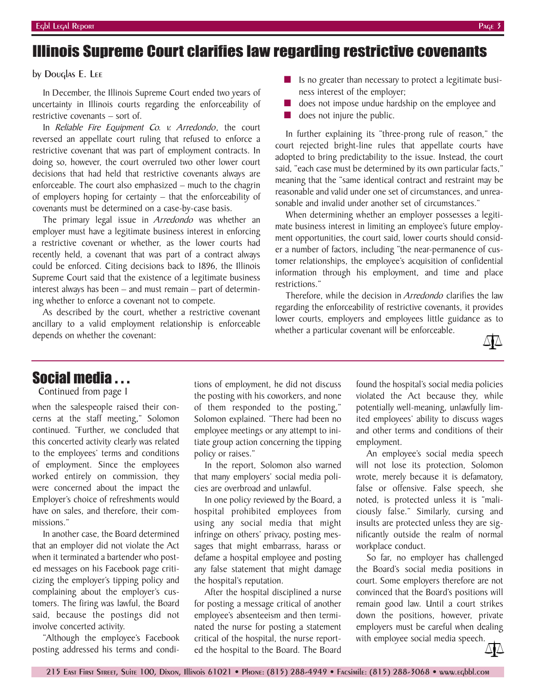#### Illinois Supreme Court clarifies law regarding restrictive covenants

#### by Douglas E. Lee

In December, the Illinois Supreme Court ended two years of uncertainty in Illinois courts regarding the enforceability of restrictive covenants – sort of.

In *Reliable Fire Equipment Co. v. Arredondo*, the court reversed an appellate court ruling that refused to enforce a restrictive covenant that was part of employment contracts. In doing so, however, the court overruled two other lower court decisions that had held that restrictive covenants always are enforceable. The court also emphasized – much to the chagrin of employers hoping for certainty – that the enforceability of covenants must be determined on a case-by-case basis.

The primary legal issue in *Arredondo* was whether an employer must have a legitimate business interest in enforcing a restrictive covenant or whether, as the lower courts had recently held, a covenant that was part of a contract always could be enforced. Citing decisions back to 1896, the Illinois Supreme Court said that the existence of a legitimate business interest always has been – and must remain – part of determining whether to enforce a covenant not to compete.

As described by the court, whether a restrictive covenant ancillary to a valid employment relationship is enforceable depends on whether the covenant:

- Is no greater than necessary to protect a legitimate business interest of the employer;
- does not impose undue hardship on the employee and
- does not injure the public.

In further explaining its "three-prong rule of reason," the court rejected bright-line rules that appellate courts have adopted to bring predictability to the issue. Instead, the court said, "each case must be determined by its own particular facts," meaning that the "same identical contract and restraint may be reasonable and valid under one set of circumstances, and unreasonable and invalid under another set of circumstances."

When determining whether an employer possesses a legitimate business interest in limiting an employee's future employment opportunities, the court said, lower courts should consider a number of factors, including "the near-permanence of customer relationships, the employee's acquisition of confidential information through his employment, and time and place restrictions."

Therefore, while the decision in *Arredondo* clarifies the law regarding the enforceability of restrictive covenants, it provides lower courts, employers and employees little guidance as to whether a particular covenant will be enforceable.



### Social media . . .

#### Continued from page 1

when the salespeople raised their concerns at the staff meeting," Solomon continued. "Further, we concluded that this concerted activity clearly was related to the employees' terms and conditions of employment. Since the employees worked entirely on commission, they were concerned about the impact the Employer's choice of refreshments would have on sales, and therefore, their commissions."

In another case, the Board determined that an employer did not violate the Act when it terminated a bartender who posted messages on his Facebook page criticizing the employer's tipping policy and complaining about the employer's customers. The firing was lawful, the Board said, because the postings did not involve concerted activity.

"Although the employee's Facebook posting addressed his terms and conditions of employment, he did not discuss the posting with his coworkers, and none of them responded to the posting," Solomon explained. "There had been no employee meetings or any attempt to initiate group action concerning the tipping policy or raises."

In the report, Solomon also warned that many employers' social media policies are overbroad and unlawful.

In one policy reviewed by the Board, a hospital prohibited employees from using any social media that might infringe on others' privacy, posting messages that might embarrass, harass or defame a hospital employee and posting any false statement that might damage the hospital's reputation.

After the hospital disciplined a nurse for posting a message critical of another employee's absenteeism and then terminated the nurse for posting a statement critical of the hospital, the nurse reported the hospital to the Board. The Board

found the hospital's social media policies violated the Act because they, while potentially well-meaning, unlawfully limited employees' ability to discuss wages and other terms and conditions of their employment.

An employee's social media speech will not lose its protection, Solomon wrote, merely because it is defamatory, false or offensive. False speech, she noted, is protected unless it is "maliciously false." Similarly, cursing and insults are protected unless they are significantly outside the realm of normal workplace conduct.

So far, no employer has challenged the Board's social media positions in court. Some employers therefore are not convinced that the Board's positions will remain good law. Until a court strikes down the positions, however, private employers must be careful when dealing with employee social media speech.